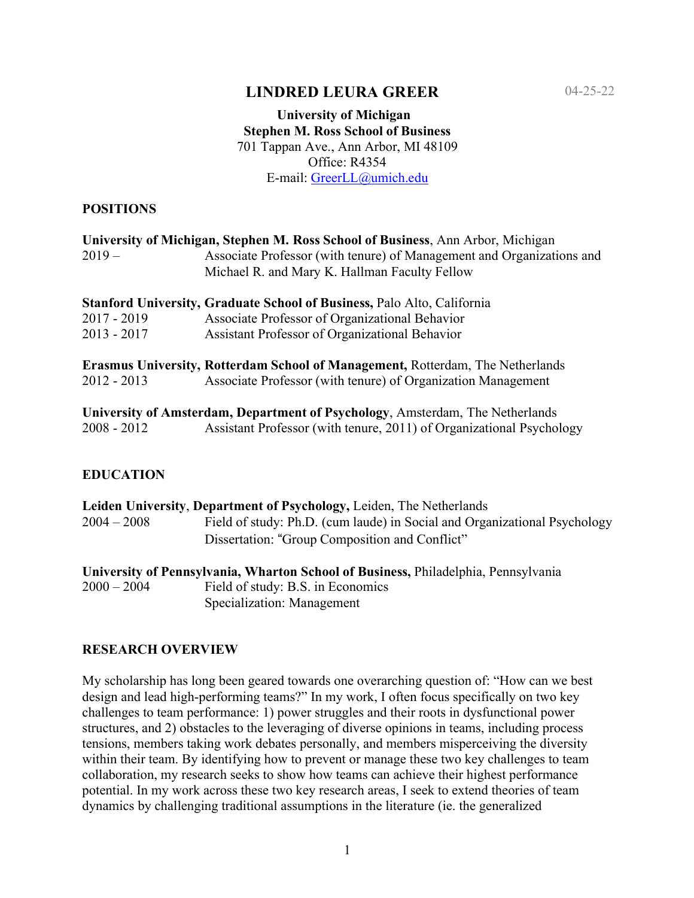# **LINDRED LEURA GREER**

### **University of Michigan Stephen M. Ross School of Business** 701 Tappan Ave., Ann Arbor, MI 48109 Office: R4354 E-mail: GreerLL@umich.edu

### **POSITIONS**

| University of Michigan, Stephen M. Ross School of Business, Ann Arbor, Michigan |                                                                                       |  |
|---------------------------------------------------------------------------------|---------------------------------------------------------------------------------------|--|
| $2019-$                                                                         | Associate Professor (with tenure) of Management and Organizations and                 |  |
|                                                                                 | Michael R. and Mary K. Hallman Faculty Fellow                                         |  |
|                                                                                 | <b>Stanford University, Graduate School of Business, Palo Alto, California</b>        |  |
| $2017 - 2019$                                                                   | Associate Professor of Organizational Behavior                                        |  |
| $2013 - 2017$                                                                   | Assistant Professor of Organizational Behavior                                        |  |
|                                                                                 | <b>Erasmus University, Rotterdam School of Management, Rotterdam, The Netherlands</b> |  |
| $2012 - 2013$                                                                   | Associate Professor (with tenure) of Organization Management                          |  |
|                                                                                 | University of Amsterdam, Department of Psychology, Amsterdam, The Netherlands         |  |
| $2008 - 2012$                                                                   | Assistant Professor (with tenure, 2011) of Organizational Psychology                  |  |
|                                                                                 |                                                                                       |  |

## **EDUCATION**

|               | Leiden University, Department of Psychology, Leiden, The Netherlands      |
|---------------|---------------------------------------------------------------------------|
| $2004 - 2008$ | Field of study: Ph.D. (cum laude) in Social and Organizational Psychology |
|               | Dissertation: "Group Composition and Conflict"                            |
|               |                                                                           |

**University of Pennsylvania, Wharton School of Business,** Philadelphia, Pennsylvania 2000 – 2004 Field of study: B.S. in Economics Specialization: Management

### **RESEARCH OVERVIEW**

My scholarship has long been geared towards one overarching question of: "How can we best design and lead high-performing teams?" In my work, I often focus specifically on two key challenges to team performance: 1) power struggles and their roots in dysfunctional power structures, and 2) obstacles to the leveraging of diverse opinions in teams, including process tensions, members taking work debates personally, and members misperceiving the diversity within their team. By identifying how to prevent or manage these two key challenges to team collaboration, my research seeks to show how teams can achieve their highest performance potential. In my work across these two key research areas, I seek to extend theories of team dynamics by challenging traditional assumptions in the literature (ie. the generalized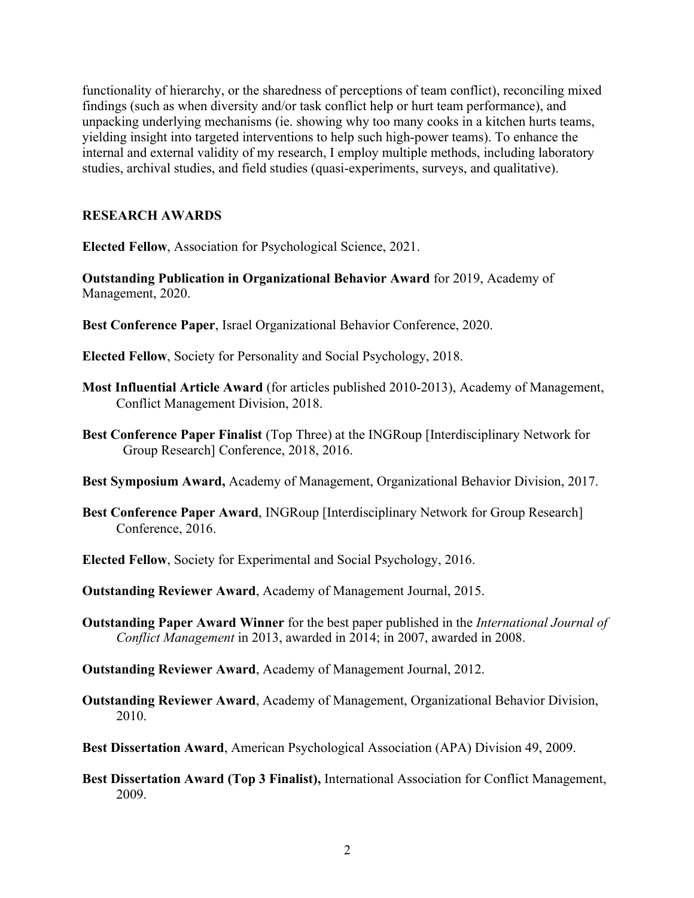functionality of hierarchy, or the sharedness of perceptions of team conflict), reconciling mixed findings (such as when diversity and/or task conflict help or hurt team performance), and unpacking underlying mechanisms (ie. showing why too many cooks in a kitchen hurts teams, yielding insight into targeted interventions to help such high-power teams). To enhance the internal and external validity of my research, I employ multiple methods, including laboratory studies, archival studies, and field studies (quasi-experiments, surveys, and qualitative).

## **RESEARCH AWARDS**

**Elected Fellow**, Association for Psychological Science, 2021.

**Outstanding Publication in Organizational Behavior Award** for 2019, Academy of Management, 2020.

- **Best Conference Paper**, Israel Organizational Behavior Conference, 2020.
- **Elected Fellow**, Society for Personality and Social Psychology, 2018.
- **Most Influential Article Award** (for articles published 2010-2013), Academy of Management, Conflict Management Division, 2018.
- **Best Conference Paper Finalist** (Top Three) at the INGRoup [Interdisciplinary Network for Group Research] Conference, 2018, 2016.
- **Best Symposium Award,** Academy of Management, Organizational Behavior Division, 2017.
- **Best Conference Paper Award**, INGRoup [Interdisciplinary Network for Group Research] Conference, 2016.
- **Elected Fellow**, Society for Experimental and Social Psychology, 2016.
- **Outstanding Reviewer Award**, Academy of Management Journal, 2015.
- **Outstanding Paper Award Winner** for the best paper published in the *International Journal of Conflict Management* in 2013, awarded in 2014; in 2007, awarded in 2008.
- **Outstanding Reviewer Award**, Academy of Management Journal, 2012.
- **Outstanding Reviewer Award**, Academy of Management, Organizational Behavior Division, 2010.
- **Best Dissertation Award**, American Psychological Association (APA) Division 49, 2009.
- **Best Dissertation Award (Top 3 Finalist),** International Association for Conflict Management, 2009.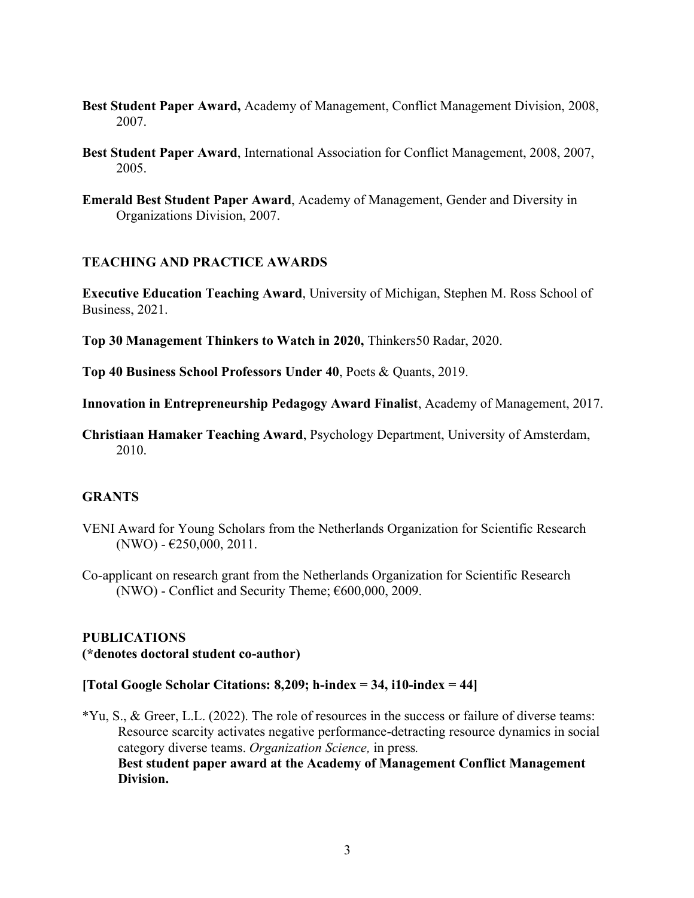- **Best Student Paper Award,** Academy of Management, Conflict Management Division, 2008, 2007.
- **Best Student Paper Award**, International Association for Conflict Management, 2008, 2007, 2005.
- **Emerald Best Student Paper Award**, Academy of Management, Gender and Diversity in Organizations Division, 2007.

### **TEACHING AND PRACTICE AWARDS**

**Executive Education Teaching Award**, University of Michigan, Stephen M. Ross School of Business, 2021.

**Top 30 Management Thinkers to Watch in 2020,** Thinkers50 Radar, 2020.

**Top 40 Business School Professors Under 40**, Poets & Quants, 2019.

**Innovation in Entrepreneurship Pedagogy Award Finalist**, Academy of Management, 2017.

**Christiaan Hamaker Teaching Award**, Psychology Department, University of Amsterdam, 2010.

### **GRANTS**

- VENI Award for Young Scholars from the Netherlands Organization for Scientific Research  $(NWO) - \text{\textsterling}250,000,2011.$
- Co-applicant on research grant from the Netherlands Organization for Scientific Research (NWO) - Conflict and Security Theme;  $\epsilon$ 600,000, 2009.

#### **PUBLICATIONS**

#### **(\*denotes doctoral student co-author)**

#### **[Total Google Scholar Citations: 8,209; h-index = 34, i10-index = 44]**

\*Yu, S., & Greer, L.L. (2022). The role of resources in the success or failure of diverse teams: Resource scarcity activates negative performance-detracting resource dynamics in social category diverse teams. *Organization Science,* in press*.* **Best student paper award at the Academy of Management Conflict Management Division.**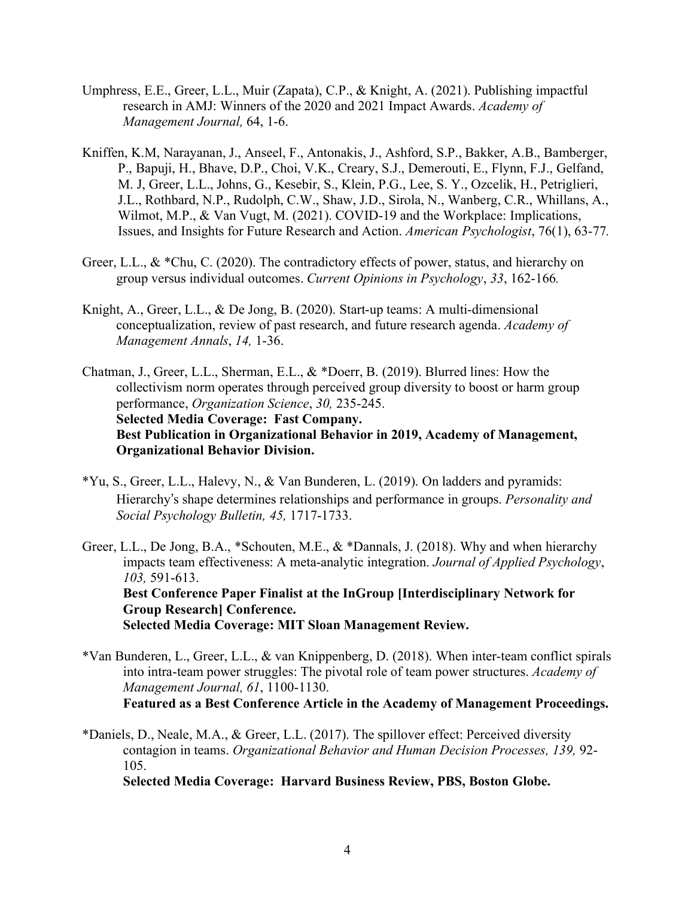- Umphress, E.E., Greer, L.L., Muir (Zapata), C.P., & Knight, A. (2021). Publishing impactful research in AMJ: Winners of the 2020 and 2021 Impact Awards. *Academy of Management Journal,* 64, 1-6.
- Kniffen, K.M, Narayanan, J., Anseel, F., Antonakis, J., Ashford, S.P., Bakker, A.B., Bamberger, P., Bapuji, H., Bhave, D.P., Choi, V.K., Creary, S.J., Demerouti, E., Flynn, F.J., Gelfand, M. J, Greer, L.L., Johns, G., Kesebir, S., Klein, P.G., Lee, S. Y., Ozcelik, H., Petriglieri, J.L., Rothbard, N.P., Rudolph, C.W., Shaw, J.D., Sirola, N., Wanberg, C.R., Whillans, A., Wilmot, M.P., & Van Vugt, M. (2021). COVID-19 and the Workplace: Implications, Issues, and Insights for Future Research and Action. *American Psychologist*, 76(1), 63-77*.*
- Greer, L.L., & \*Chu, C. (2020). The contradictory effects of power, status, and hierarchy on group versus individual outcomes. *Current Opinions in Psychology*, *33*, 162-166*.*
- Knight, A., Greer, L.L., & De Jong, B. (2020). Start-up teams: A multi-dimensional conceptualization, review of past research, and future research agenda. *Academy of Management Annals*, *14,* 1-36.
- Chatman, J., Greer, L.L., Sherman, E.L., & \*Doerr, B. (2019). Blurred lines: How the collectivism norm operates through perceived group diversity to boost or harm group performance, *Organization Science*, *30,* 235-245. **Selected Media Coverage: Fast Company. Best Publication in Organizational Behavior in 2019, Academy of Management, Organizational Behavior Division.**
- \*Yu, S., Greer, L.L., Halevy, N., & Van Bunderen, L. (2019). On ladders and pyramids: Hierarchy"s shape determines relationships and performance in groups. *Personality and Social Psychology Bulletin, 45,* 1717-1733.
- Greer, L.L., De Jong, B.A., \*Schouten, M.E., & \*Dannals, J. (2018). Why and when hierarchy impacts team effectiveness: A meta-analytic integration. *Journal of Applied Psychology*, *103,* 591-613. **Best Conference Paper Finalist at the InGroup [Interdisciplinary Network for Group Research] Conference. Selected Media Coverage: MIT Sloan Management Review.**
- \*Van Bunderen, L., Greer, L.L., & van Knippenberg, D. (2018). When inter-team conflict spirals into intra-team power struggles: The pivotal role of team power structures. *Academy of Management Journal, 61*, 1100-1130. **Featured as a Best Conference Article in the Academy of Management Proceedings.**
- \*Daniels, D., Neale, M.A., & Greer, L.L. (2017). The spillover effect: Perceived diversity contagion in teams. *Organizational Behavior and Human Decision Processes, 139,* 92- 105.

**Selected Media Coverage: Harvard Business Review, PBS, Boston Globe.**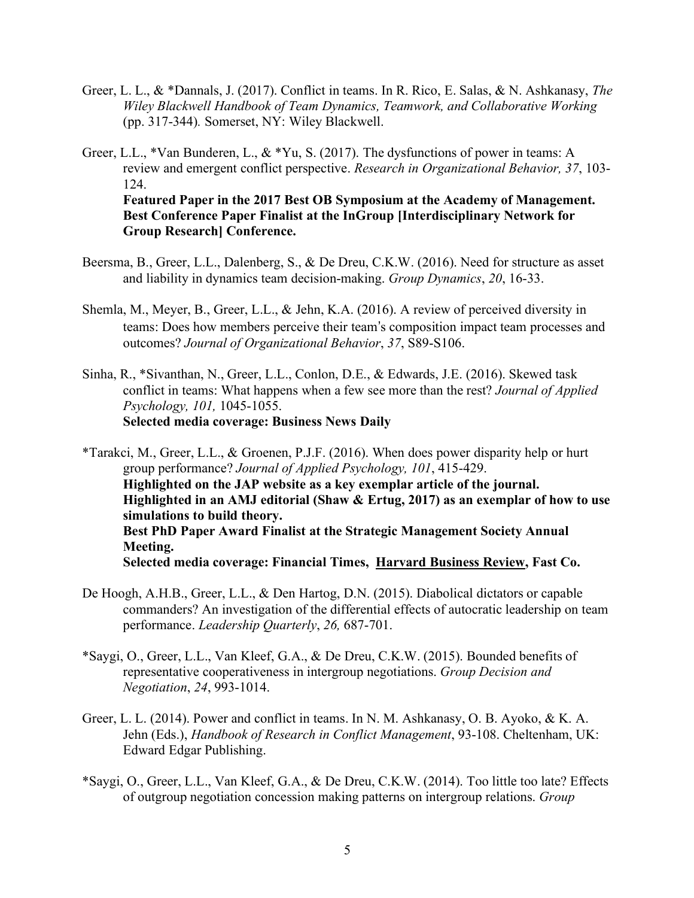Greer, L. L., & \*Dannals, J. (2017). Conflict in teams. In R. Rico, E. Salas, & N. Ashkanasy, *The Wiley Blackwell Handbook of Team Dynamics, Teamwork, and Collaborative Working* (pp. 317-344)*.* Somerset, NY: Wiley Blackwell.

Greer, L.L., \*Van Bunderen, L., & \*Yu, S. (2017). The dysfunctions of power in teams: A review and emergent conflict perspective. *Research in Organizational Behavior, 37*, 103- 124. **Featured Paper in the 2017 Best OB Symposium at the Academy of Management. Best Conference Paper Finalist at the InGroup [Interdisciplinary Network for Group Research] Conference.**

- Beersma, B., Greer, L.L., Dalenberg, S., & De Dreu, C.K.W. (2016). Need for structure as asset and liability in dynamics team decision-making. *Group Dynamics*, *20*, 16-33.
- Shemla, M., Meyer, B., Greer, L.L., & Jehn, K.A. (2016). A review of perceived diversity in teams: Does how members perceive their team"s composition impact team processes and outcomes? *Journal of Organizational Behavior*, *37*, S89-S106.
- Sinha, R., \*Sivanthan, N., Greer, L.L., Conlon, D.E., & Edwards, J.E. (2016). Skewed task conflict in teams: What happens when a few see more than the rest? *Journal of Applied Psychology, 101,* 1045-1055. **Selected media coverage: Business News Daily**

\*Tarakci, M., Greer, L.L., & Groenen, P.J.F. (2016). When does power disparity help or hurt group performance? *Journal of Applied Psychology, 101*, 415-429. **Highlighted on the JAP website as a key exemplar article of the journal. Highlighted in an AMJ editorial (Shaw & Ertug, 2017) as an exemplar of how to use simulations to build theory. Best PhD Paper Award Finalist at the Strategic Management Society Annual Meeting. Selected media coverage: Financial Times, Harvard Business Review, Fast Co.**

- De Hoogh, A.H.B., Greer, L.L., & Den Hartog, D.N. (2015). Diabolical dictators or capable commanders? An investigation of the differential effects of autocratic leadership on team performance. *Leadership Quarterly*, *26,* 687-701.
- \*Saygi, O., Greer, L.L., Van Kleef, G.A., & De Dreu, C.K.W. (2015). Bounded benefits of representative cooperativeness in intergroup negotiations. *Group Decision and Negotiation*, *24*, 993-1014.
- Greer, L. L. (2014). Power and conflict in teams. In N. M. Ashkanasy, O. B. Ayoko, & K. A. Jehn (Eds.), *Handbook of Research in Conflict Management*, 93-108. Cheltenham, UK: Edward Edgar Publishing.
- \*Saygi, O., Greer, L.L., Van Kleef, G.A., & De Dreu, C.K.W. (2014). Too little too late? Effects of outgroup negotiation concession making patterns on intergroup relations. *Group*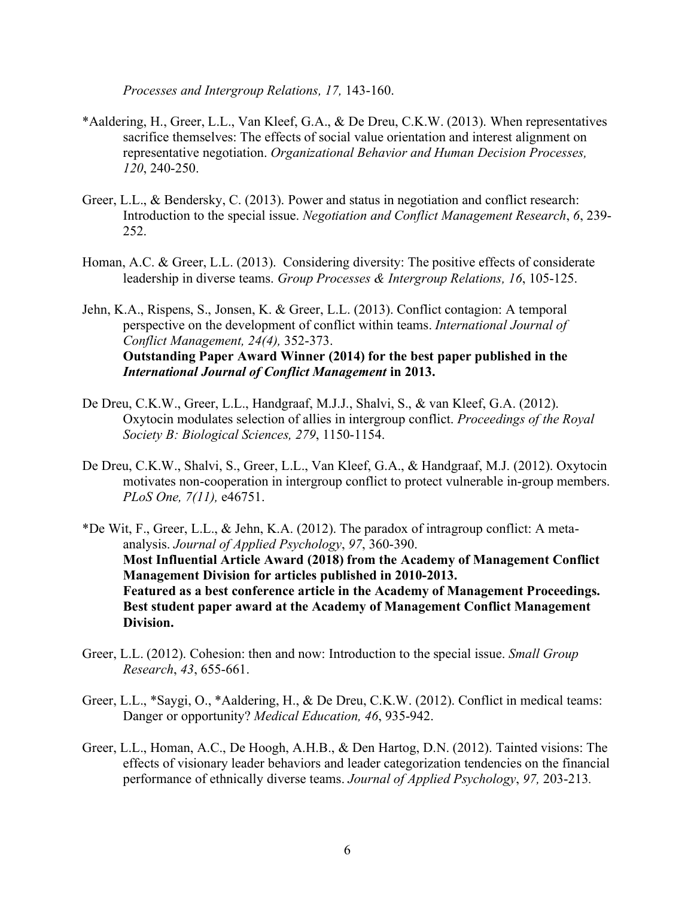*Processes and Intergroup Relations, 17,* 143-160.

- \*Aaldering, H., Greer, L.L., Van Kleef, G.A., & De Dreu, C.K.W. (2013). When representatives sacrifice themselves: The effects of social value orientation and interest alignment on representative negotiation. *Organizational Behavior and Human Decision Processes, 120*, 240-250.
- Greer, L.L., & Bendersky, C. (2013). Power and status in negotiation and conflict research: Introduction to the special issue. *Negotiation and Conflict Management Research*, *6*, 239- 252.
- Homan, A.C. & Greer, L.L. (2013). Considering diversity: The positive effects of considerate leadership in diverse teams. *Group Processes & Intergroup Relations, 16*, 105-125.

Jehn, K.A., Rispens, S., Jonsen, K. & Greer, L.L. (2013). Conflict contagion: A temporal perspective on the development of conflict within teams. *International Journal of Conflict Management, 24(4),* 352-373. **Outstanding Paper Award Winner (2014) for the best paper published in the** *International Journal of Conflict Management* **in 2013.**

- De Dreu, C.K.W., Greer, L.L., Handgraaf, M.J.J., Shalvi, S., & van Kleef, G.A. (2012). Oxytocin modulates selection of allies in intergroup conflict. *Proceedings of the Royal Society B: Biological Sciences, 279*, 1150-1154.
- De Dreu, C.K.W., Shalvi, S., Greer, L.L., Van Kleef, G.A., & Handgraaf, M.J. (2012). Oxytocin motivates non-cooperation in intergroup conflict to protect vulnerable in-group members. *PLoS One, 7(11),* e46751.

\*De Wit, F., Greer, L.L., & Jehn, K.A. (2012). The paradox of intragroup conflict: A metaanalysis. *Journal of Applied Psychology*, *97*, 360-390. **Most Influential Article Award (2018) from the Academy of Management Conflict Management Division for articles published in 2010-2013. Featured as a best conference article in the Academy of Management Proceedings. Best student paper award at the Academy of Management Conflict Management Division.**

- Greer, L.L. (2012). Cohesion: then and now: Introduction to the special issue. *Small Group Research*, *43*, 655-661.
- Greer, L.L., \*Saygi, O., \*Aaldering, H., & De Dreu, C.K.W. (2012). Conflict in medical teams: Danger or opportunity? *Medical Education, 46*, 935-942.
- Greer, L.L., Homan, A.C., De Hoogh, A.H.B., & Den Hartog, D.N. (2012). Tainted visions: The effects of visionary leader behaviors and leader categorization tendencies on the financial performance of ethnically diverse teams. *Journal of Applied Psychology*, *97,* 203-213*.*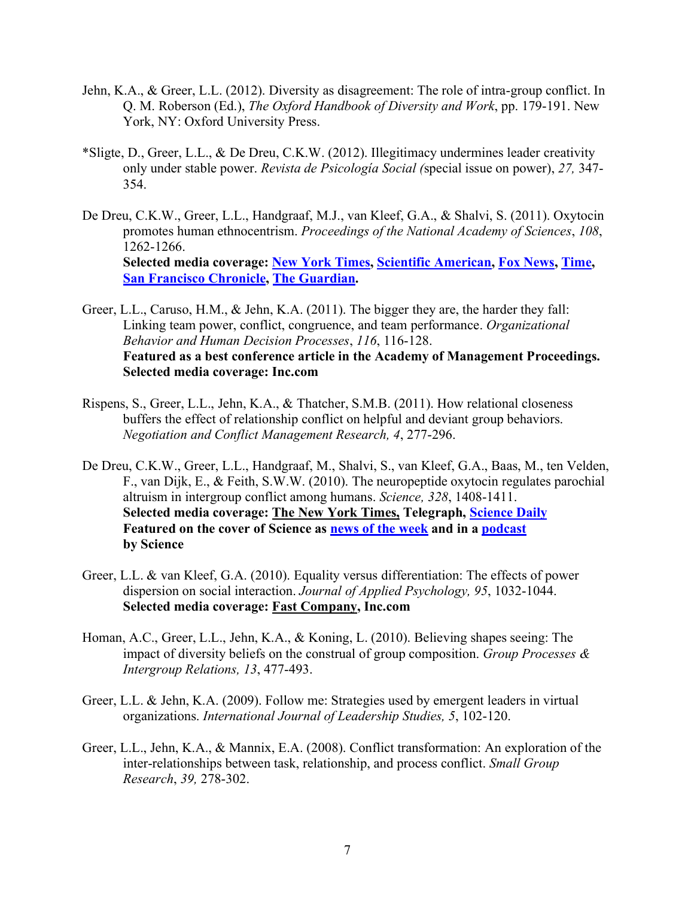- Jehn, K.A., & Greer, L.L. (2012). Diversity as disagreement: The role of intra-group conflict. In Q. M. Roberson (Ed.), *The Oxford Handbook of Diversity and Work*, pp. 179-191. New York, NY: Oxford University Press.
- \*Sligte, D., Greer, L.L., & De Dreu, C.K.W. (2012). Illegitimacy undermines leader creativity only under stable power. *Revista de Psicología Social (*special issue on power), *27,* 347- 354.
- De Dreu, C.K.W., Greer, L.L., Handgraaf, M.J., van Kleef, G.A., & Shalvi, S. (2011). Oxytocin promotes human ethnocentrism. *Proceedings of the National Academy of Sciences*, *108*, 1262-1266. **Selected media coverage: New York Times, Scientific American, Fox News, Time, San Francisco Chronicle, The Guardian.**

Greer, L.L., Caruso, H.M., & Jehn, K.A. (2011). The bigger they are, the harder they fall: Linking team power, conflict, congruence, and team performance. *Organizational Behavior and Human Decision Processes*, *116*, 116-128. **Featured as a best conference article in the Academy of Management Proceedings. Selected media coverage: Inc.com**

- Rispens, S., Greer, L.L., Jehn, K.A., & Thatcher, S.M.B. (2011). How relational closeness buffers the effect of relationship conflict on helpful and deviant group behaviors. *Negotiation and Conflict Management Research, 4*, 277-296.
- De Dreu, C.K.W., Greer, L.L., Handgraaf, M., Shalvi, S., van Kleef, G.A., Baas, M., ten Velden, F., van Dijk, E., & Feith, S.W.W. (2010). The neuropeptide oxytocin regulates parochial altruism in intergroup conflict among humans. *Science, 328*, 1408-1411. **Selected media coverage: The New York Times, Telegraph, Science Daily Featured on the cover of Science as news of the week and in a podcast by Science**
- Greer, L.L. & van Kleef, G.A. (2010). Equality versus differentiation: The effects of power dispersion on social interaction. *Journal of Applied Psychology, 95*, 1032-1044. **Selected media coverage: Fast Company, Inc.com**
- Homan, A.C., Greer, L.L., Jehn, K.A., & Koning, L. (2010). Believing shapes seeing: The impact of diversity beliefs on the construal of group composition. *Group Processes & Intergroup Relations, 13*, 477-493.
- Greer, L.L. & Jehn, K.A. (2009). Follow me: Strategies used by emergent leaders in virtual organizations. *International Journal of Leadership Studies, 5*, 102-120.
- Greer, L.L., Jehn, K.A., & Mannix, E.A. (2008). Conflict transformation: An exploration of the inter-relationships between task, relationship, and process conflict. *Small Group Research*, *39,* 278-302.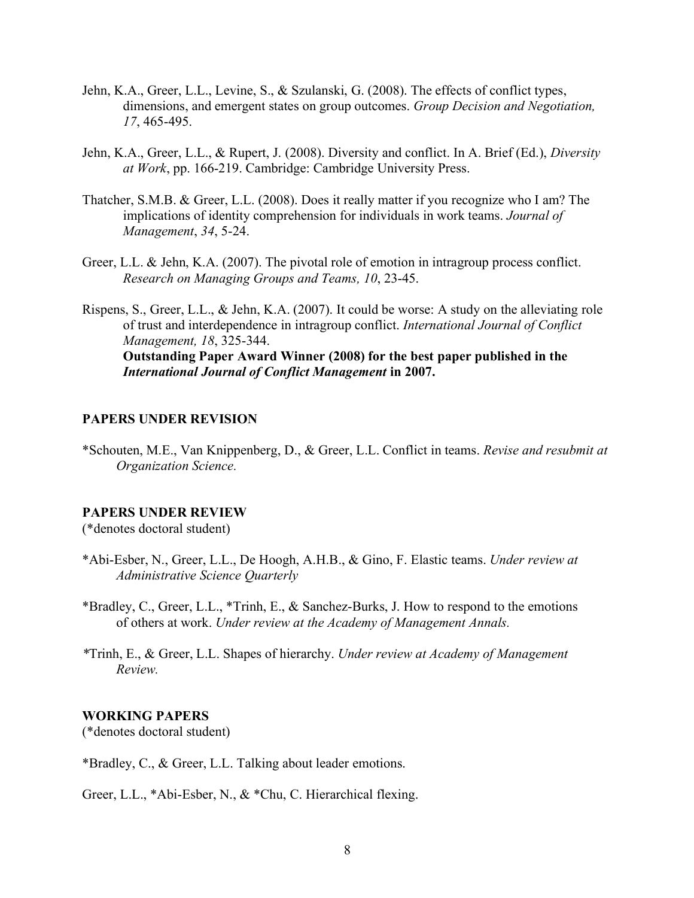- Jehn, K.A., Greer, L.L., Levine, S., & Szulanski, G. (2008). The effects of conflict types, dimensions, and emergent states on group outcomes. *Group Decision and Negotiation, 17*, 465-495.
- Jehn, K.A., Greer, L.L., & Rupert, J. (2008). Diversity and conflict. In A. Brief (Ed.), *Diversity at Work*, pp. 166-219. Cambridge: Cambridge University Press.
- Thatcher, S.M.B. & Greer, L.L. (2008). Does it really matter if you recognize who I am? The implications of identity comprehension for individuals in work teams. *Journal of Management*, *34*, 5-24.
- Greer, L.L. & Jehn, K.A. (2007). The pivotal role of emotion in intragroup process conflict. *Research on Managing Groups and Teams, 10*, 23-45.
- Rispens, S., Greer, L.L., & Jehn, K.A. (2007). It could be worse: A study on the alleviating role of trust and interdependence in intragroup conflict. *International Journal of Conflict Management, 18*, 325-344. **Outstanding Paper Award Winner (2008) for the best paper published in the** *International Journal of Conflict Management* **in 2007.**

#### **PAPERS UNDER REVISION**

\*Schouten, M.E., Van Knippenberg, D., & Greer, L.L. Conflict in teams. *Revise and resubmit at Organization Science.*

#### **PAPERS UNDER REVIEW**

(\*denotes doctoral student)

- \*Abi-Esber, N., Greer, L.L., De Hoogh, A.H.B., & Gino, F. Elastic teams. *Under review at Administrative Science Quarterly*
- \*Bradley, C., Greer, L.L., \*Trinh, E., & Sanchez-Burks, J. How to respond to the emotions of others at work. *Under review at the Academy of Management Annals.*
- *\**Trinh, E., & Greer, L.L. Shapes of hierarchy. *Under review at Academy of Management Review.*

#### **WORKING PAPERS**

(\*denotes doctoral student)

\*Bradley, C., & Greer, L.L. Talking about leader emotions.

Greer, L.L., \*Abi-Esber, N., & \*Chu, C. Hierarchical flexing.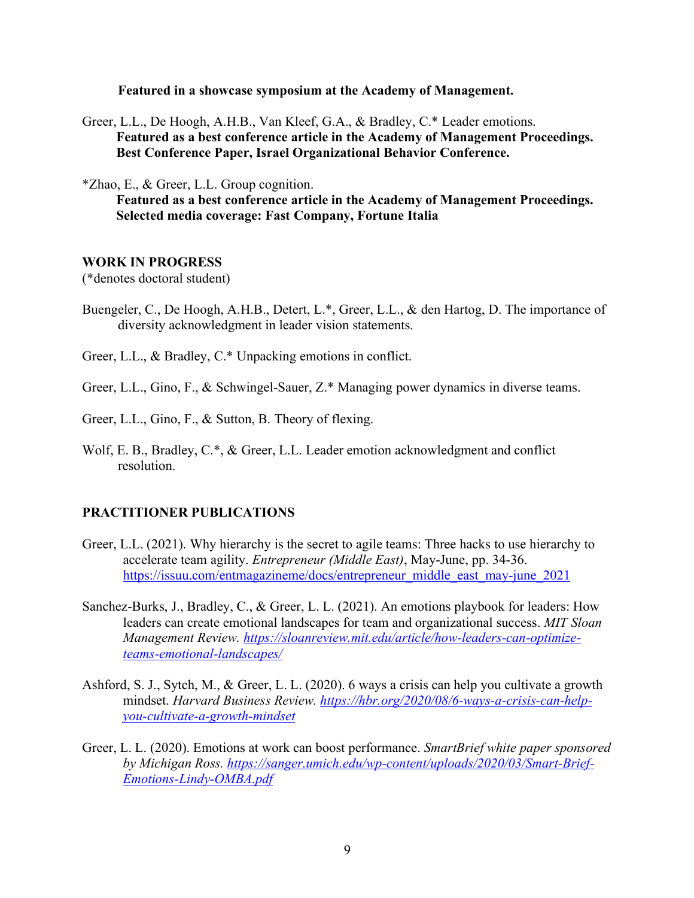**Featured in a showcase symposium at the Academy of Management.**

Greer, L.L., De Hoogh, A.H.B., Van Kleef, G.A., & Bradley, C.\* Leader emotions. **Featured as a best conference article in the Academy of Management Proceedings. Best Conference Paper, Israel Organizational Behavior Conference.**

\*Zhao, E., & Greer, L.L. Group cognition.

**Featured as a best conference article in the Academy of Management Proceedings. Selected media coverage: Fast Company, Fortune Italia**

#### **WORK IN PROGRESS**

(\*denotes doctoral student)

Buengeler, C., De Hoogh, A.H.B., Detert, L.\*, Greer, L.L., & den Hartog, D. The importance of diversity acknowledgment in leader vision statements.

Greer, L.L., & Bradley, C.\* Unpacking emotions in conflict.

- Greer, L.L., Gino, F., & Schwingel-Sauer, Z.\* Managing power dynamics in diverse teams.
- Greer, L.L., Gino, F., & Sutton, B. Theory of flexing.
- Wolf, E. B., Bradley, C.\*, & Greer, L.L. Leader emotion acknowledgment and conflict resolution.

### **PRACTITIONER PUBLICATIONS**

- Greer, L.L. (2021). Why hierarchy is the secret to agile teams: Three hacks to use hierarchy to accelerate team agility. *Entrepreneur (Middle East)*, May-June, pp. 34-36. https://issuu.com/entmagazineme/docs/entrepreneur\_middle\_east\_may-june\_2021
- Sanchez-Burks, J., Bradley, C., & Greer, L. L. (2021). An emotions playbook for leaders: How leaders can create emotional landscapes for team and organizational success. *MIT Sloan Management Review. https://sloanreview.mit.edu/article/how-leaders-can-optimizeteams-emotional-landscapes/*
- Ashford, S. J., Sytch, M., & Greer, L. L. (2020). 6 ways a crisis can help you cultivate a growth mindset. *Harvard Business Review. https://hbr.org/2020/08/6-ways-a-crisis-can-helpyou-cultivate-a-growth-mindset*
- Greer, L. L. (2020). Emotions at work can boost performance. *SmartBrief white paper sponsored by Michigan Ross. https://sanger.umich.edu/wp-content/uploads/2020/03/Smart-Brief-Emotions-Lindy-OMBA.pdf*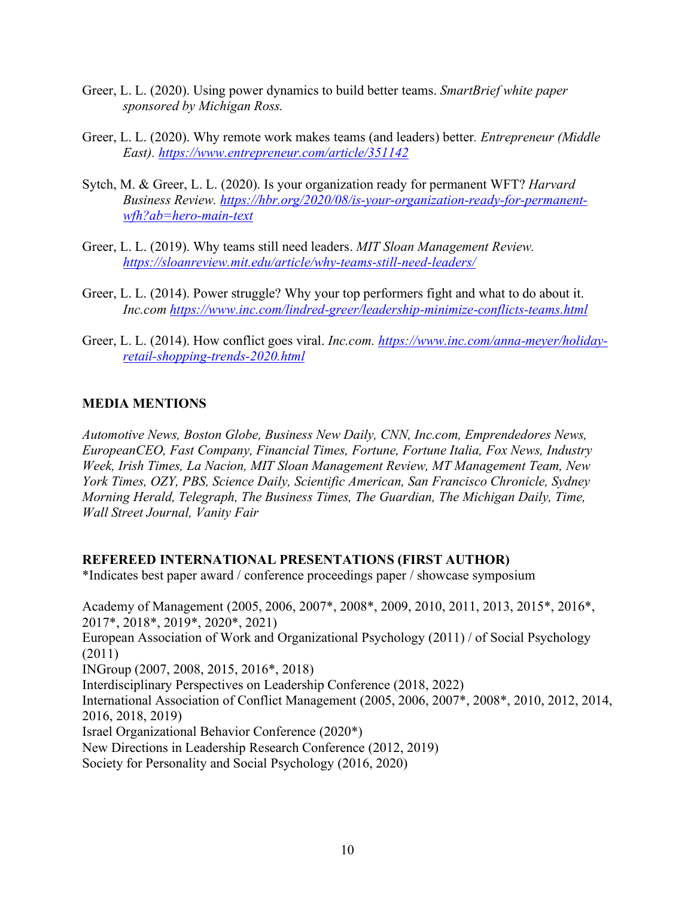- Greer, L. L. (2020). Using power dynamics to build better teams. *SmartBrief white paper sponsored by Michigan Ross.*
- Greer, L. L. (2020). Why remote work makes teams (and leaders) better*. Entrepreneur (Middle East). https://www.entrepreneur.com/article/351142*
- Sytch, M. & Greer, L. L. (2020). Is your organization ready for permanent WFT? *Harvard Business Review. https://hbr.org/2020/08/is-your-organization-ready-for-permanentwfh?ab=hero-main-text*
- Greer, L. L. (2019). Why teams still need leaders. *MIT Sloan Management Review. https://sloanreview.mit.edu/article/why-teams-still-need-leaders/*
- Greer, L. L. (2014). Power struggle? Why your top performers fight and what to do about it. *Inc.com https://www.inc.com/lindred-greer/leadership-minimize-conflicts-teams.html*
- Greer, L. L. (2014). How conflict goes viral. *Inc.com. https://www.inc.com/anna-meyer/holidayretail-shopping-trends-2020.html*

### **MEDIA MENTIONS**

*Automotive News, Boston Globe, Business New Daily, CNN, Inc.com, Emprendedores News, EuropeanCEO, Fast Company, Financial Times, Fortune, Fortune Italia, Fox News, Industry Week, Irish Times, La Nacion, MIT Sloan Management Review, MT Management Team, New York Times, OZY, PBS, Science Daily, Scientific American, San Francisco Chronicle, Sydney Morning Herald, Telegraph, The Business Times, The Guardian, The Michigan Daily, Time, Wall Street Journal, Vanity Fair*

### **REFEREED INTERNATIONAL PRESENTATIONS (FIRST AUTHOR)**

\*Indicates best paper award / conference proceedings paper / showcase symposium

Academy of Management (2005, 2006, 2007\*, 2008\*, 2009, 2010, 2011, 2013, 2015\*, 2016\*, 2017\*, 2018\*, 2019\*, 2020\*, 2021) European Association of Work and Organizational Psychology (2011) / of Social Psychology (2011) INGroup (2007, 2008, 2015, 2016\*, 2018) Interdisciplinary Perspectives on Leadership Conference (2018, 2022) International Association of Conflict Management (2005, 2006, 2007\*, 2008\*, 2010, 2012, 2014, 2016, 2018, 2019) Israel Organizational Behavior Conference (2020\*) New Directions in Leadership Research Conference (2012, 2019) Society for Personality and Social Psychology (2016, 2020)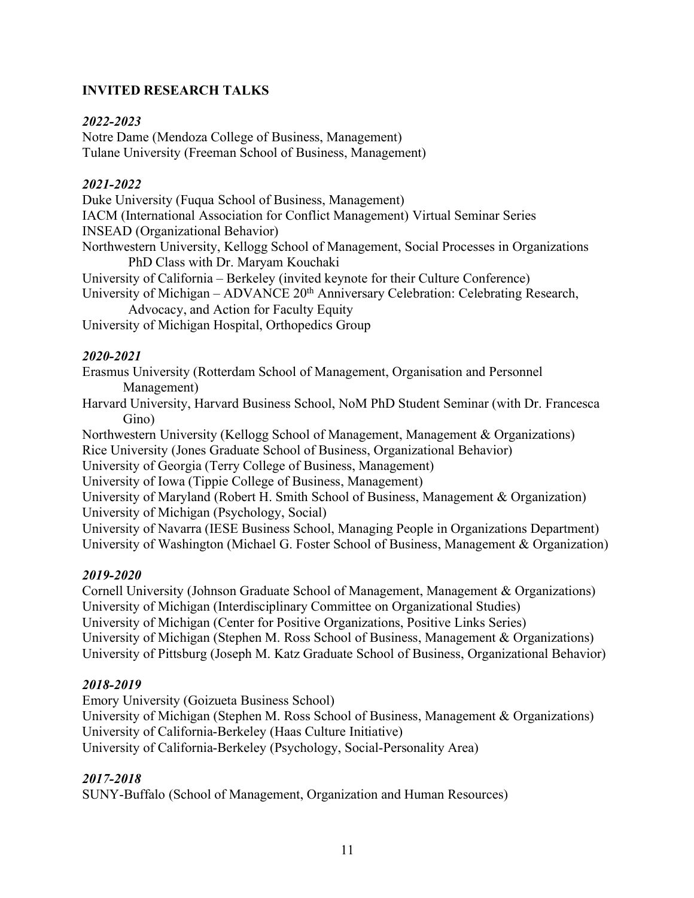# **INVITED RESEARCH TALKS**

## *2022-2023*

Notre Dame (Mendoza College of Business, Management) Tulane University (Freeman School of Business, Management)

## *2021-2022*

Duke University (Fuqua School of Business, Management) IACM (International Association for Conflict Management) Virtual Seminar Series INSEAD (Organizational Behavior) Northwestern University, Kellogg School of Management, Social Processes in Organizations PhD Class with Dr. Maryam Kouchaki University of California – Berkeley (invited keynote for their Culture Conference) University of Michigan – ADVANCE 20<sup>th</sup> Anniversary Celebration: Celebrating Research, Advocacy, and Action for Faculty Equity University of Michigan Hospital, Orthopedics Group

## *2020-2021*

Erasmus University (Rotterdam School of Management, Organisation and Personnel Management)

Harvard University, Harvard Business School, NoM PhD Student Seminar (with Dr. Francesca Gino)

Northwestern University (Kellogg School of Management, Management & Organizations) Rice University (Jones Graduate School of Business, Organizational Behavior)

University of Georgia (Terry College of Business, Management)

University of Iowa (Tippie College of Business, Management)

University of Maryland (Robert H. Smith School of Business, Management & Organization) University of Michigan (Psychology, Social)

University of Navarra (IESE Business School, Managing People in Organizations Department) University of Washington (Michael G. Foster School of Business, Management & Organization)

# *2019-2020*

Cornell University (Johnson Graduate School of Management, Management & Organizations) University of Michigan (Interdisciplinary Committee on Organizational Studies) University of Michigan (Center for Positive Organizations, Positive Links Series) University of Michigan (Stephen M. Ross School of Business, Management & Organizations) University of Pittsburg (Joseph M. Katz Graduate School of Business, Organizational Behavior)

## *2018-2019*

Emory University (Goizueta Business School) University of Michigan (Stephen M. Ross School of Business, Management & Organizations) University of California-Berkeley (Haas Culture Initiative) University of California-Berkeley (Psychology, Social-Personality Area)

# *2017-2018*

SUNY-Buffalo (School of Management, Organization and Human Resources)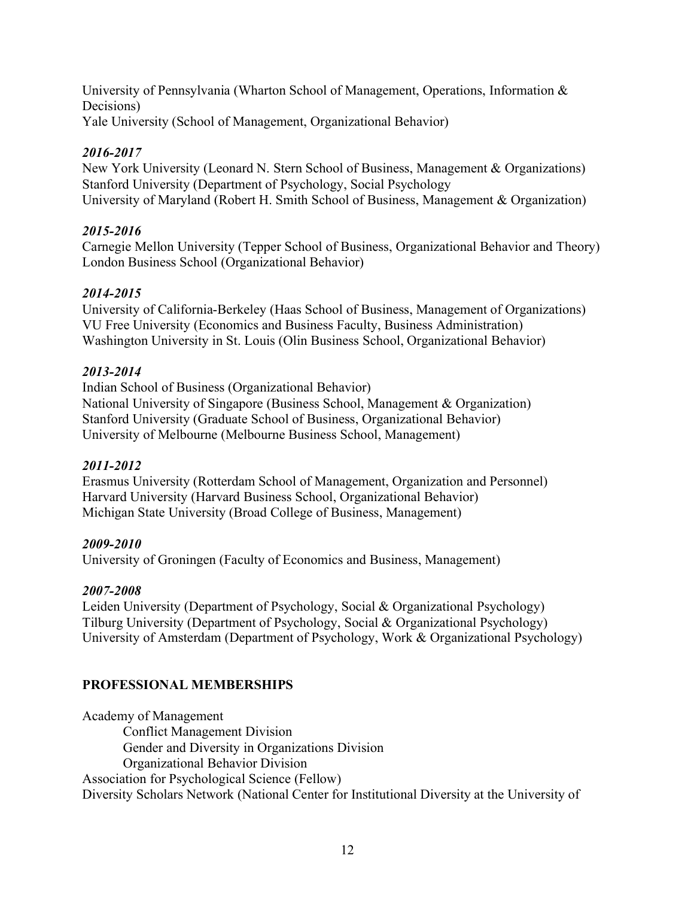University of Pennsylvania (Wharton School of Management, Operations, Information & Decisions) Yale University (School of Management, Organizational Behavior)

# *2016-2017*

New York University (Leonard N. Stern School of Business, Management & Organizations) Stanford University (Department of Psychology, Social Psychology University of Maryland (Robert H. Smith School of Business, Management & Organization)

# *2015-2016*

Carnegie Mellon University (Tepper School of Business, Organizational Behavior and Theory) London Business School (Organizational Behavior)

# *2014-2015*

University of California-Berkeley (Haas School of Business, Management of Organizations) VU Free University (Economics and Business Faculty, Business Administration) Washington University in St. Louis (Olin Business School, Organizational Behavior)

# *2013-2014*

Indian School of Business (Organizational Behavior) National University of Singapore (Business School, Management & Organization) Stanford University (Graduate School of Business, Organizational Behavior) University of Melbourne (Melbourne Business School, Management)

## *2011-2012*

Erasmus University (Rotterdam School of Management, Organization and Personnel) Harvard University (Harvard Business School, Organizational Behavior) Michigan State University (Broad College of Business, Management)

## *2009-2010*

University of Groningen (Faculty of Economics and Business, Management)

## *2007-2008*

Leiden University (Department of Psychology, Social & Organizational Psychology) Tilburg University (Department of Psychology, Social & Organizational Psychology) University of Amsterdam (Department of Psychology, Work & Organizational Psychology)

# **PROFESSIONAL MEMBERSHIPS**

Academy of Management Conflict Management Division Gender and Diversity in Organizations Division Organizational Behavior Division Association for Psychological Science (Fellow) Diversity Scholars Network (National Center for Institutional Diversity at the University of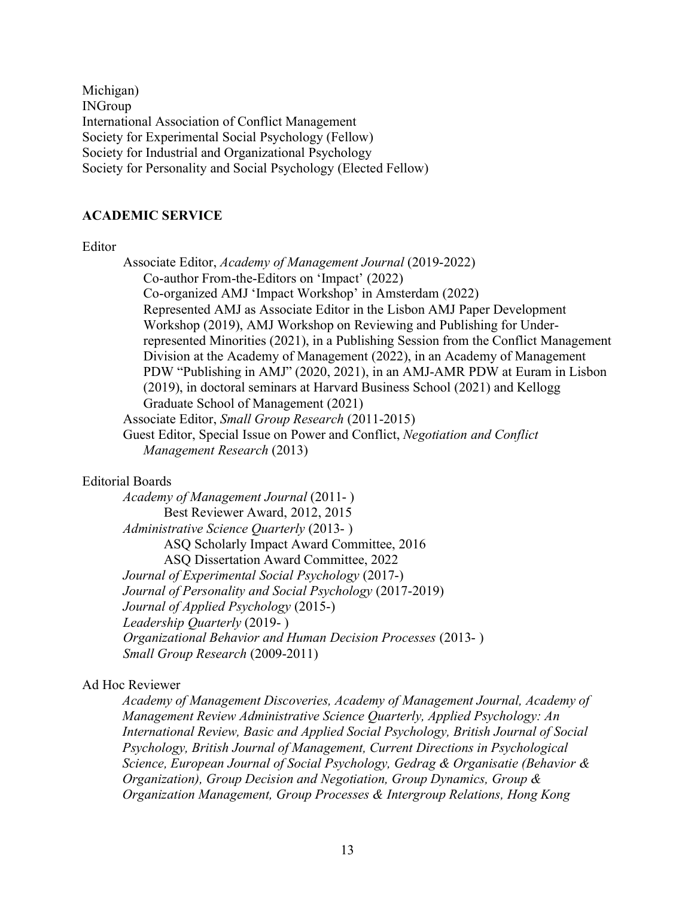Michigan) INGroup International Association of Conflict Management Society for Experimental Social Psychology (Fellow) Society for Industrial and Organizational Psychology Society for Personality and Social Psychology (Elected Fellow)

#### **ACADEMIC SERVICE**

#### Editor

Associate Editor, *Academy of Management Journal* (2019-2022) Co-author From-the-Editors on 'Impact' (2022) Co-organized AMJ 'Impact Workshop' in Amsterdam (2022) Represented AMJ as Associate Editor in the Lisbon AMJ Paper Development Workshop (2019), AMJ Workshop on Reviewing and Publishing for Underrepresented Minorities (2021), in a Publishing Session from the Conflict Management Division at the Academy of Management (2022), in an Academy of Management PDW "Publishing in AMJ" (2020, 2021), in an AMJ-AMR PDW at Euram in Lisbon (2019), in doctoral seminars at Harvard Business School (2021) and Kellogg Graduate School of Management (2021) Associate Editor, *Small Group Research* (2011-2015) Guest Editor, Special Issue on Power and Conflict, *Negotiation and Conflict Management Research* (2013)

#### Editorial Boards

*Academy of Management Journal* (2011- ) Best Reviewer Award, 2012, 2015 *Administrative Science Quarterly* (2013- ) ASQ Scholarly Impact Award Committee, 2016 ASQ Dissertation Award Committee, 2022 *Journal of Experimental Social Psychology* (2017-) *Journal of Personality and Social Psychology* (2017-2019) *Journal of Applied Psychology* (2015-) *Leadership Quarterly* (2019- ) *Organizational Behavior and Human Decision Processes* (2013- ) *Small Group Research* (2009-2011)

#### Ad Hoc Reviewer

*Academy of Management Discoveries, Academy of Management Journal, Academy of Management Review Administrative Science Quarterly, Applied Psychology: An International Review, Basic and Applied Social Psychology, British Journal of Social Psychology, British Journal of Management, Current Directions in Psychological Science, European Journal of Social Psychology, Gedrag & Organisatie (Behavior & Organization), Group Decision and Negotiation, Group Dynamics, Group & Organization Management, Group Processes & Intergroup Relations, Hong Kong*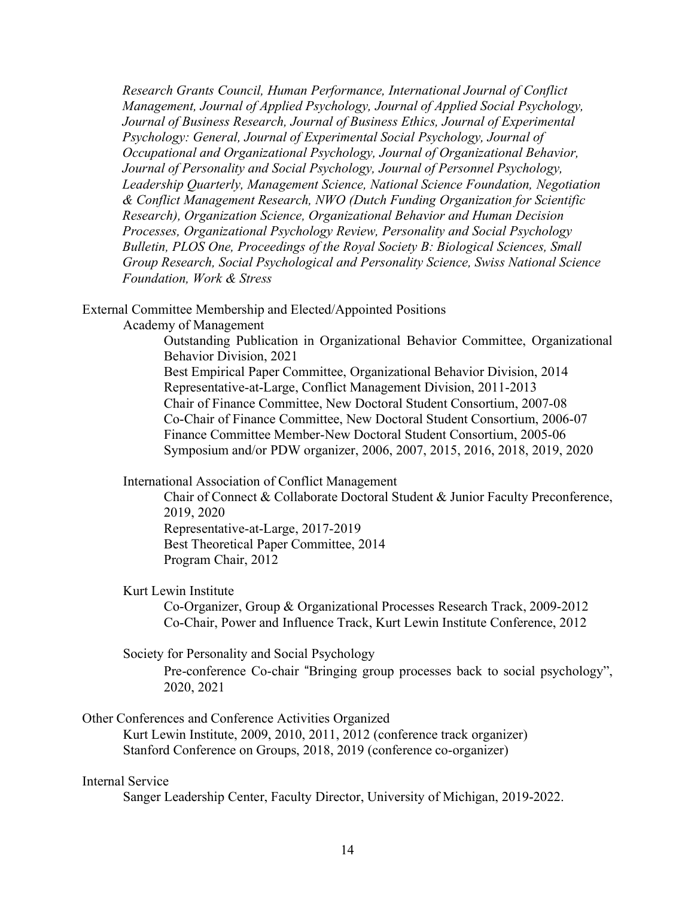*Research Grants Council, Human Performance, International Journal of Conflict Management, Journal of Applied Psychology, Journal of Applied Social Psychology, Journal of Business Research, Journal of Business Ethics, Journal of Experimental Psychology: General, Journal of Experimental Social Psychology, Journal of Occupational and Organizational Psychology, Journal of Organizational Behavior, Journal of Personality and Social Psychology, Journal of Personnel Psychology, Leadership Quarterly, Management Science, National Science Foundation, Negotiation & Conflict Management Research, NWO (Dutch Funding Organization for Scientific Research), Organization Science, Organizational Behavior and Human Decision Processes, Organizational Psychology Review, Personality and Social Psychology Bulletin, PLOS One, Proceedings of the Royal Society B: Biological Sciences, Small Group Research, Social Psychological and Personality Science, Swiss National Science Foundation, Work & Stress*

External Committee Membership and Elected/Appointed Positions

Academy of Management

Outstanding Publication in Organizational Behavior Committee, Organizational Behavior Division, 2021

Best Empirical Paper Committee, Organizational Behavior Division, 2014 Representative-at-Large, Conflict Management Division, 2011-2013 Chair of Finance Committee, New Doctoral Student Consortium, 2007-08 Co-Chair of Finance Committee, New Doctoral Student Consortium, 2006-07 Finance Committee Member-New Doctoral Student Consortium, 2005-06 Symposium and/or PDW organizer, 2006, 2007, 2015, 2016, 2018, 2019, 2020

International Association of Conflict Management

Chair of Connect & Collaborate Doctoral Student & Junior Faculty Preconference, 2019, 2020

Representative-at-Large, 2017-2019 Best Theoretical Paper Committee, 2014 Program Chair, 2012

#### Kurt Lewin Institute

Co-Organizer, Group & Organizational Processes Research Track, 2009-2012 Co-Chair, Power and Influence Track, Kurt Lewin Institute Conference, 2012

Society for Personality and Social Psychology

Pre-conference Co-chair "Bringing group processes back to social psychology", 2020, 2021

Other Conferences and Conference Activities Organized

Kurt Lewin Institute, 2009, 2010, 2011, 2012 (conference track organizer) Stanford Conference on Groups, 2018, 2019 (conference co-organizer)

#### Internal Service

Sanger Leadership Center, Faculty Director, University of Michigan, 2019-2022.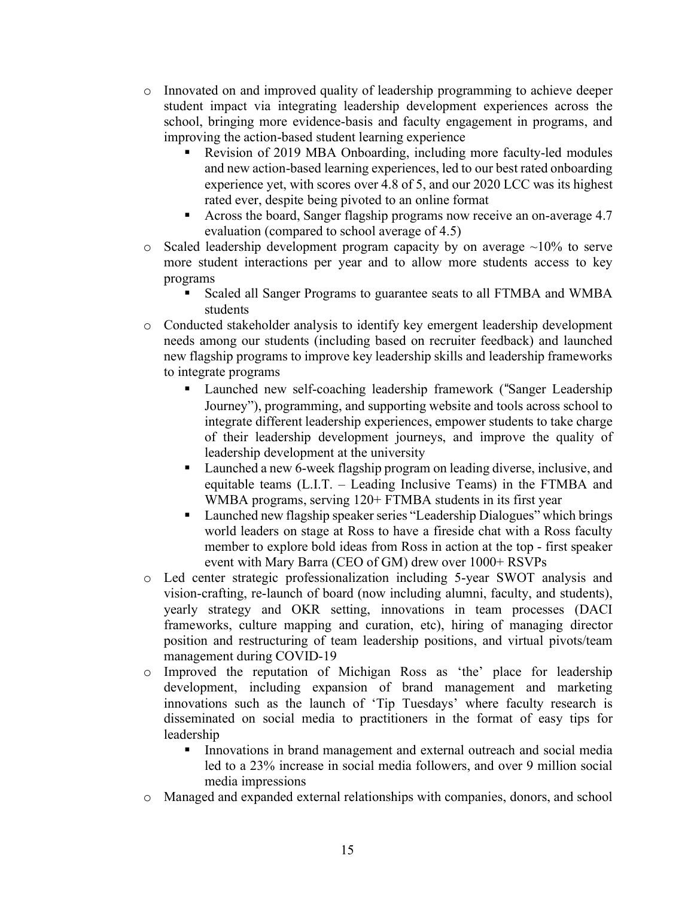- o Innovated on and improved quality of leadership programming to achieve deeper student impact via integrating leadership development experiences across the school, bringing more evidence-basis and faculty engagement in programs, and improving the action-based student learning experience
	- § Revision of 2019 MBA Onboarding, including more faculty-led modules and new action-based learning experiences, led to our best rated onboarding experience yet, with scores over 4.8 of 5, and our 2020 LCC was its highest rated ever, despite being pivoted to an online format
	- § Across the board, Sanger flagship programs now receive an on-average 4.7 evaluation (compared to school average of 4.5)
- $\circ$  Scaled leadership development program capacity by on average  $\sim$ 10% to serve more student interactions per year and to allow more students access to key programs
	- § Scaled all Sanger Programs to guarantee seats to all FTMBA and WMBA students
- o Conducted stakeholder analysis to identify key emergent leadership development needs among our students (including based on recruiter feedback) and launched new flagship programs to improve key leadership skills and leadership frameworks to integrate programs
	- Launched new self-coaching leadership framework ("Sanger Leadership Journey"), programming, and supporting website and tools across school to integrate different leadership experiences, empower students to take charge of their leadership development journeys, and improve the quality of leadership development at the university
	- Launched a new 6-week flagship program on leading diverse, inclusive, and equitable teams (L.I.T. – Leading Inclusive Teams) in the FTMBA and WMBA programs, serving  $120+$  FTMBA students in its first year
	- Launched new flagship speaker series "Leadership Dialogues" which brings world leaders on stage at Ross to have a fireside chat with a Ross faculty member to explore bold ideas from Ross in action at the top - first speaker event with Mary Barra (CEO of GM) drew over 1000+ RSVPs
- o Led center strategic professionalization including 5-year SWOT analysis and vision-crafting, re-launch of board (now including alumni, faculty, and students), yearly strategy and OKR setting, innovations in team processes (DACI frameworks, culture mapping and curation, etc), hiring of managing director position and restructuring of team leadership positions, and virtual pivots/team management during COVID-19
- o Improved the reputation of Michigan Ross as 'the' place for leadership development, including expansion of brand management and marketing innovations such as the launch of 'Tip Tuesdays' where faculty research is disseminated on social media to practitioners in the format of easy tips for leadership
	- § Innovations in brand management and external outreach and social media led to a 23% increase in social media followers, and over 9 million social media impressions
- o Managed and expanded external relationships with companies, donors, and school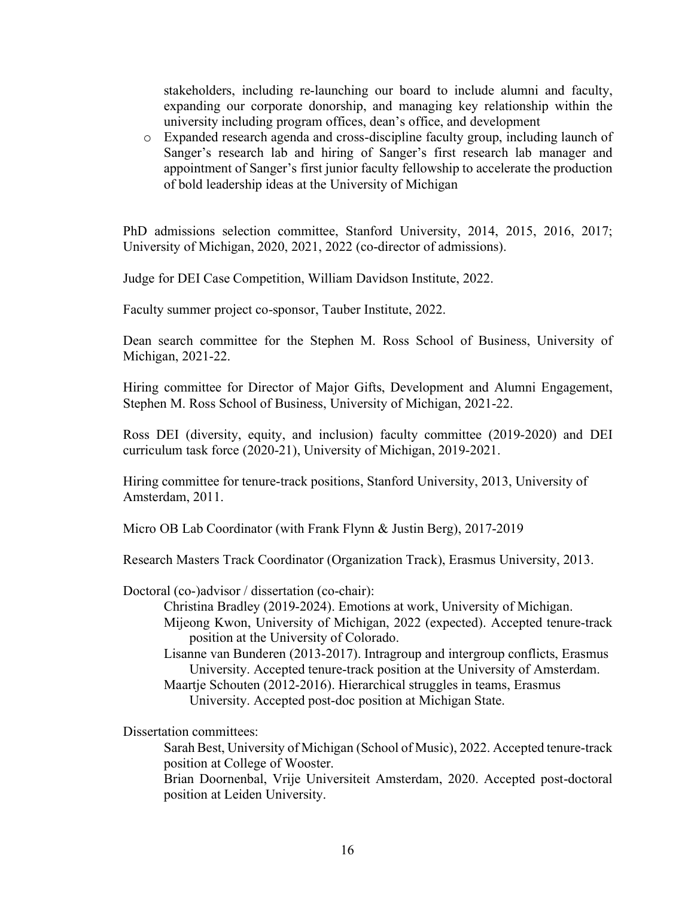stakeholders, including re-launching our board to include alumni and faculty, expanding our corporate donorship, and managing key relationship within the university including program offices, dean's office, and development

o Expanded research agenda and cross-discipline faculty group, including launch of Sanger's research lab and hiring of Sanger's first research lab manager and appointment of Sanger's first junior faculty fellowship to accelerate the production of bold leadership ideas at the University of Michigan

PhD admissions selection committee, Stanford University, 2014, 2015, 2016, 2017; University of Michigan, 2020, 2021, 2022 (co-director of admissions).

Judge for DEI Case Competition, William Davidson Institute, 2022.

Faculty summer project co-sponsor, Tauber Institute, 2022.

Dean search committee for the Stephen M. Ross School of Business, University of Michigan, 2021-22.

Hiring committee for Director of Major Gifts, Development and Alumni Engagement, Stephen M. Ross School of Business, University of Michigan, 2021-22.

Ross DEI (diversity, equity, and inclusion) faculty committee (2019-2020) and DEI curriculum task force (2020-21), University of Michigan, 2019-2021.

Hiring committee for tenure-track positions, Stanford University, 2013, University of Amsterdam, 2011.

Micro OB Lab Coordinator (with Frank Flynn & Justin Berg), 2017-2019

Research Masters Track Coordinator (Organization Track), Erasmus University, 2013.

Doctoral (co-)advisor / dissertation (co-chair):

- Christina Bradley (2019-2024). Emotions at work, University of Michigan. Mijeong Kwon, University of Michigan, 2022 (expected). Accepted tenure-track position at the University of Colorado.
- Lisanne van Bunderen (2013-2017). Intragroup and intergroup conflicts, Erasmus University. Accepted tenure-track position at the University of Amsterdam. Maartje Schouten (2012-2016). Hierarchical struggles in teams, Erasmus

University. Accepted post-doc position at Michigan State.

Dissertation committees:

Sarah Best, University of Michigan (School of Music), 2022. Accepted tenure-track position at College of Wooster.

Brian Doornenbal, Vrije Universiteit Amsterdam, 2020. Accepted post-doctoral position at Leiden University.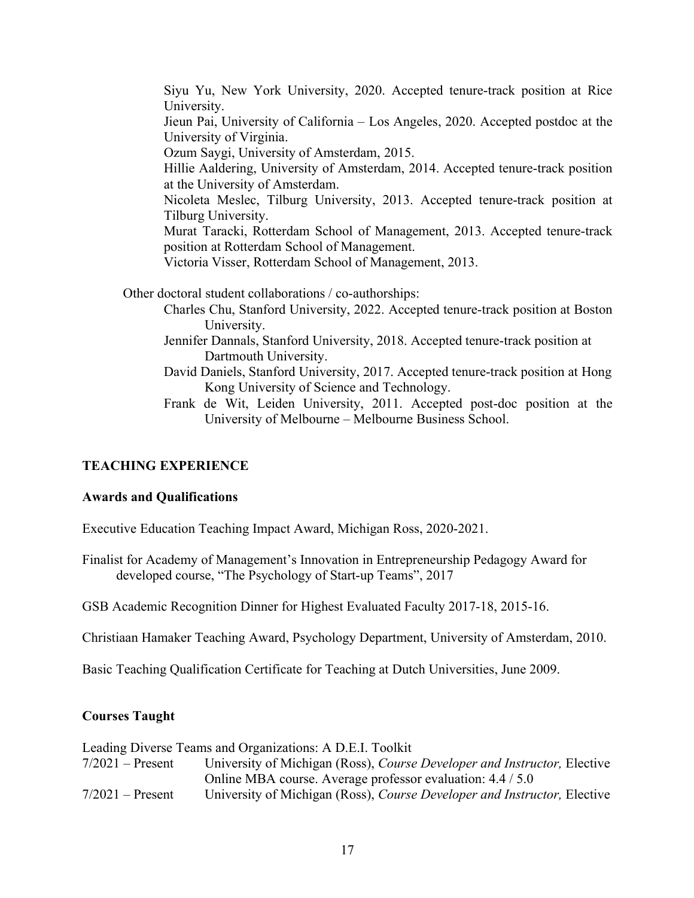Siyu Yu, New York University, 2020. Accepted tenure-track position at Rice University. Jieun Pai, University of California – Los Angeles, 2020. Accepted postdoc at the University of Virginia. Ozum Saygi, University of Amsterdam, 2015. Hillie Aaldering, University of Amsterdam, 2014. Accepted tenure-track position at the University of Amsterdam. Nicoleta Meslec, Tilburg University, 2013. Accepted tenure-track position at Tilburg University. Murat Taracki, Rotterdam School of Management, 2013. Accepted tenure-track position at Rotterdam School of Management. Victoria Visser, Rotterdam School of Management, 2013. Other doctoral student collaborations / co-authorships: Charles Chu, Stanford University, 2022. Accepted tenure-track position at Boston University. Jennifer Dannals, Stanford University, 2018. Accepted tenure-track position at Dartmouth University.

- David Daniels, Stanford University, 2017. Accepted tenure-track position at Hong Kong University of Science and Technology.
- Frank de Wit, Leiden University, 2011. Accepted post-doc position at the University of Melbourne – Melbourne Business School.

## **TEACHING EXPERIENCE**

### **Awards and Qualifications**

Executive Education Teaching Impact Award, Michigan Ross, 2020-2021.

Finalist for Academy of Management's Innovation in Entrepreneurship Pedagogy Award for developed course, "The Psychology of Start-up Teams", 2017

GSB Academic Recognition Dinner for Highest Evaluated Faculty 2017-18, 2015-16.

Christiaan Hamaker Teaching Award, Psychology Department, University of Amsterdam, 2010.

Basic Teaching Qualification Certificate for Teaching at Dutch Universities, June 2009.

### **Courses Taught**

Leading Diverse Teams and Organizations: A D.E.I. Toolkit

| $7/2021$ – Present | University of Michigan (Ross), Course Developer and Instructor, Elective |
|--------------------|--------------------------------------------------------------------------|
|                    | Online MBA course. Average professor evaluation: 4.4 / 5.0               |
| $7/2021$ – Present | University of Michigan (Ross), Course Developer and Instructor, Elective |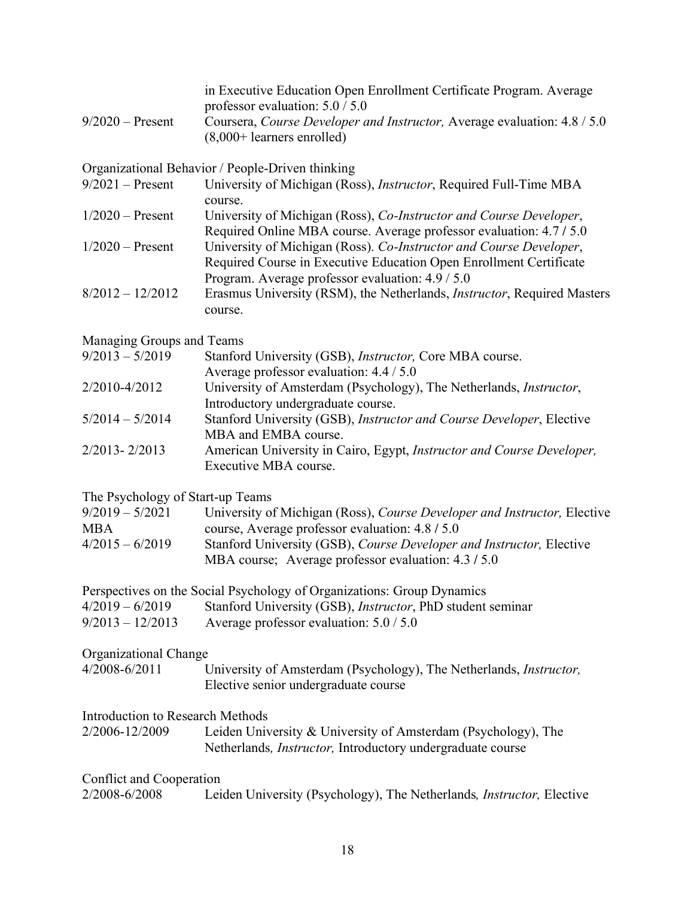| $9/2020$ – Present                      | in Executive Education Open Enrollment Certificate Program. Average<br>professor evaluation: $5.0 / 5.0$<br>Coursera, Course Developer and Instructor, Average evaluation: 4.8 / 5.0         |  |
|-----------------------------------------|----------------------------------------------------------------------------------------------------------------------------------------------------------------------------------------------|--|
|                                         | $(8,000+$ learners enrolled)                                                                                                                                                                 |  |
|                                         | Organizational Behavior / People-Driven thinking                                                                                                                                             |  |
| $9/2021$ – Present                      | University of Michigan (Ross), Instructor, Required Full-Time MBA<br>course.                                                                                                                 |  |
| $1/2020$ – Present                      | University of Michigan (Ross), Co-Instructor and Course Developer,<br>Required Online MBA course. Average professor evaluation: 4.7 / 5.0                                                    |  |
| $1/2020$ – Present                      | University of Michigan (Ross). Co-Instructor and Course Developer,<br>Required Course in Executive Education Open Enrollment Certificate<br>Program. Average professor evaluation: 4.9 / 5.0 |  |
| $8/2012 - 12/2012$                      | Erasmus University (RSM), the Netherlands, <i>Instructor</i> , Required Masters<br>course.                                                                                                   |  |
| Managing Groups and Teams               |                                                                                                                                                                                              |  |
| $9/2013 - 5/2019$                       | Stanford University (GSB), Instructor, Core MBA course.<br>Average professor evaluation: 4.4 / 5.0                                                                                           |  |
| 2/2010-4/2012                           | University of Amsterdam (Psychology), The Netherlands, Instructor,<br>Introductory undergraduate course.                                                                                     |  |
| $5/2014 - 5/2014$                       | Stanford University (GSB), Instructor and Course Developer, Elective<br>MBA and EMBA course.                                                                                                 |  |
| 2/2013-2/2013                           | American University in Cairo, Egypt, Instructor and Course Developer,<br>Executive MBA course.                                                                                               |  |
| The Psychology of Start-up Teams        |                                                                                                                                                                                              |  |
| $9/2019 - 5/2021$<br><b>MBA</b>         | University of Michigan (Ross), Course Developer and Instructor, Elective<br>course, Average professor evaluation: 4.8 / 5.0                                                                  |  |
| $4/2015 - 6/2019$                       | Stanford University (GSB), Course Developer and Instructor, Elective<br>MBA course; Average professor evaluation: 4.3 / 5.0                                                                  |  |
|                                         | Perspectives on the Social Psychology of Organizations: Group Dynamics                                                                                                                       |  |
| $4/2019 - 6/2019$<br>$9/2013 - 12/2013$ | Stanford University (GSB), <i>Instructor</i> , PhD student seminar<br>Average professor evaluation: $5.0 / 5.0$                                                                              |  |
| Organizational Change                   |                                                                                                                                                                                              |  |
| 4/2008-6/2011                           | University of Amsterdam (Psychology), The Netherlands, <i>Instructor</i> ,<br>Elective senior undergraduate course                                                                           |  |
| Introduction to Research Methods        |                                                                                                                                                                                              |  |
| 2/2006-12/2009                          | Leiden University & University of Amsterdam (Psychology), The<br>Netherlands, <i>Instructor</i> , Introductory undergraduate course                                                          |  |
| Conflict and Cooperation                |                                                                                                                                                                                              |  |
| 2/2008-6/2008                           | Leiden University (Psychology), The Netherlands, <i>Instructor</i> , Elective                                                                                                                |  |